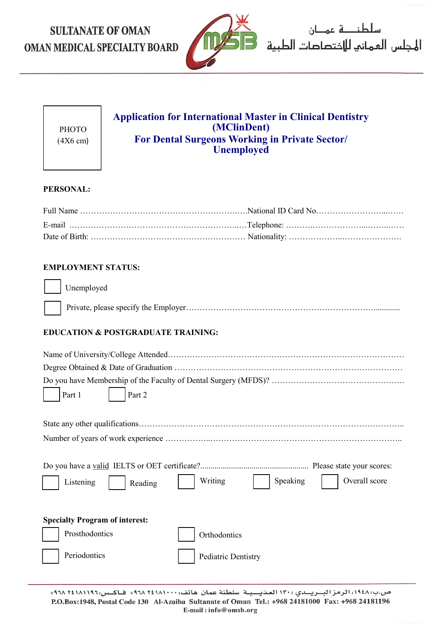# **SULTANATE OF OMAN** OMAN MEDICAL SPECIALTY BOARD



سلطنــــة عمـــان 

| PHOTO              |  |
|--------------------|--|
| $(4X6 \text{ cm})$ |  |

# **Application for International Master in Clinical Dentistry (MClinDent) For Dental Surgeons Working in Private Sector/ Unemployed**

## **PERSONAL:**

## **EMPLOYMENT STATUS:**

#### Unemployed

## **EDUCATION & POSTGRADUATE TRAINING:**

| Part 2<br>Part 1                                             |
|--------------------------------------------------------------|
|                                                              |
|                                                              |
| Writing<br>Overall score<br>Speaking<br>Listening<br>Reading |
| <b>Specialty Program of interest:</b>                        |
| Prosthodontics<br>Orthodontics                               |
| Periodontics<br>Pediatric Dentistry                          |
|                                                              |

ص.ب:١٩٤٨، الرمز البريـدي : ١٣٠ العذيـبة سلطنة عمان هاتف: ٢٤١٨١٠٠٠+ فـاكـس: ٢٤١٨١١٩٢ +٩٦٨ P.O.Box:1948, Postal Code 130 Al-Azaiba Sultanate of Oman Tel.: +968 24181000 Fax: +968 24181196 E-mail:info@omsb.org